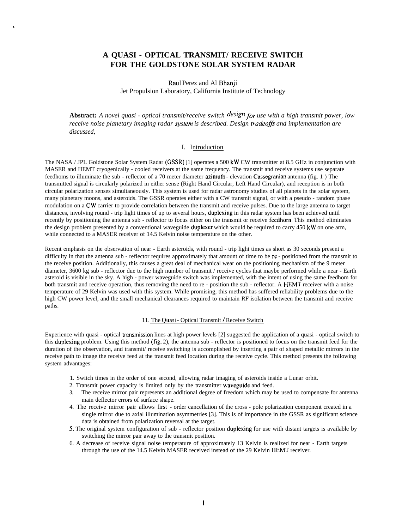# **A QUASI - OPTICAL TRANSMIT/ RECEIVE SWITCH FOR THE GOLDSTONE SOLAR SYSTEM RADAR**

.

Raul Perez and Al Bhanji Jet Propulsion Laboratory, California Institute of Technology

**Abstract:** *A novel quasi - optical transmit/receive switch design for use with a high transmit power, low* receive noise planetary *imaging radar system is described. Design tradeoffs and implementation are discussed,*

## I. Introduction

The NASA / JPL Goldstone Solar System Radar (GSSR) [1] operates a 500 kW CW transmitter at 8.5 GHz in conjunction with MASER and HEMT cryogenically - cooled receivers at the same frequency. The transmit and receive systems use separate feedhoms to illuminate the sub - reflector of a 70 meter diameter  $azimuth$  - elevation Cassegranian antenna (fig. 1) The transmitted signal is circularly polarized in either sense (Right Hand Circular, Left Hand Circular), and reception is in both circular polarization senses simultaneously. This system is used for radar astronomy studies of all planets in the solar system, many planetary moons, and asteroids. The GSSR operates either with a CW transmit signal, or with a pseudo - random phase modulation on a CW carrier to provide correlation between the transmit and receive pulses. Due to the large antenna to target distances, involving round - trip light times of up to several hours, duplexing in this radar system has been achieved until recently by positioning the antenna sub - reflector to focus either on the transmit or receive feedhom. This method eliminates the design problem presented by a conventional waveguide duplexer which would be required to carry  $450 \text{ kW}$  on one arm, while connected to a MASER receiver of 14.5 Kelvin noise temperature on the other.

Recent emphasis on the observation of near - Earth asteroids, with round - trip light times as short as 30 seconds present a difficulty in that the antenna sub - reflector requires approximately that amount of time to be re - positioned from the transmit to the receive position. Additionally, this causes a great deal of mechanical wear on the positioning mechanism of the 9 meter diameter, 3600 kg sub - reflector due to the high number of transmit / receive cycles that maybe performed while a near - Earth asteroid is visible in the sky. A high - power waveguide switch was implemented, with the intent of using the same feedhom for both transmit and receive operation, thus removing the need to re - position the sub - reflector. A HEMT receiver with a noise temperature of 29 Kelvin was used with this system. While promising, this method has suffered reliability problems due to the high CW power level, and the small mechanical clearances required to maintain RF isolation between the transmit and receive paths.

## 11. The Quasi - Optical Transmit / Receive Switch

Experience with quasi - optical transmission lines at high power levels [2] suggested the application of a quasi - optical switch to this duplexing problem. Using this method (fig. 2), the antenna sub - reflector is positioned to focus on the transmit feed for the duration of the observation, and transmit/ receive switching is accomplished by inserting a pair of shaped metallic mirrors in the receive path to image the receive feed at the transmit feed location during the receive cycle. This method presents the following system advantages:

- 1. Switch times in the order of one second, allowing radar imaging of asteroids inside a Lunar orbit.
- 2. Transmit power capacity is limited only by the transmitter waveguide and feed.
- 3. The receive mirror pair represents an additional degree of freedom which may be used to compensate for antenna main deflector errors of surface shape.
- 4. The receive mirror pair allows first order cancellation of the cross pole polarization component created in a single mirror due to axial illumination asymmetries [3]. This is of importance in the GSSR as significant science data is obtained from polarization reversal at the target.
- 5, The original system configuration of sub reflector position duplexing for use with distant targets is available by switching the mirror pair away to the transmit position.
- 6. A decrease of receive signal noise temperature of approximately 13 Kelvin is realized for near Earth targets through the use of the 14.5 Kelvin MASER received instead of the 29 Kelvin HEMT receiver.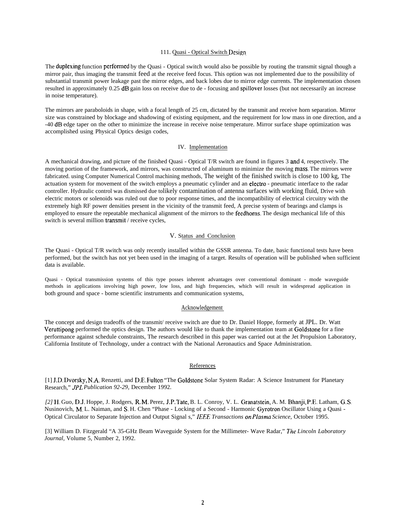#### 111. Quasi - Optical Switch Design

The duplexing function performed by the Quasi - Optical switch would also be possible by routing the transmit signal though a mirror pair, thus imaging the transmit feed at the receive feed focus. This option was not implemented due to the possibility of substantial transmit power leakage past the mirror edges, and back lobes due to mirror edge currents. The implementation chosen resulted in approximately 0.25 dB gain loss on receive due to de - focusing and spillover losses (but not necessarily an increase in noise temperature).

The mirrors are paraboloids in shape, with a focal length of 25 cm, dictated by the transmit and receive horn separation. Mirror size was constrained by blockage and shadowing of existing equipment, and the requirement for low mass in one direction, and a -40 dB edge taper on the other to minimize the increase in receive noise temperature. Mirror surface shape optimization was accomplished using Physical Optics design codes,

## IV. Implementation

A mechanical drawing, and picture of the finished Quasi - Optical T/R switch are found in figures 3 ancl 4, respectively. The moving portion of the framework, and mirrors, was constructed of aluminum to minimize the moving mass, The mirrors were fabricated. using Computer Numerical Control machining methods, The weight of the finished switch is close to 100 kg, The actuation system for movement of the switch employs a pneumatic cylinder and an electro - pneumatic interface to the radar controller. Hydraulic control was dismissed due to likely contamination of antenna surfaces with working fluid, Drive with electric motors or solenoids was ruled out due to poor response times, and the incompatibility of electrical circuitry with the extremely high RF power densities present in the vicinity of the transmit feed, A precise system of bearings and clamps is employed to ensure the repeatable mechanical alignment of the mirrors to the feedhoms. The design mechanical life of this switch is several million tramsmit / receive cycles,

#### V. Status and Conclusion

The Quasi - Optical T/R switch was only recently installed within the GSSR antenna. To date, basic functional tests have been performed, but the switch has not yet been used in the imaging of a target. Results of operation will be published when sufficient data is available.

Quasi - Optical transmission systems of this type posses inherent advantages over conventional dominant - mode waveguide methods in applications involving high power, low loss, and high frequencies, which will result in widespread application in both ground and space - borne scientific instruments and communication systems,

#### Acknowledgement

The concept and design tradeoffs of the transmit/ receive switch are due to Dr. Daniel Hoppe, formerly at JPL. Dr. Watt Veruttipong performed the optics design. The authors would like to thank the implementation team at Goldstone for a fine performance against schedule constraints, The research described in this paper was carried out at the Jet Propulsion Laboratory, California Institute of Technology, under a contract with the National Aeronautics and Space Administration.

#### References

[1] J.D. Dvorsky, N.A. Renzetti, and D.E, Fulton "The Goldstone Solar System Radar: A Science Instrument for Planetary Research," *JPI. Publication 92-29,* December 1992.

*[2]* H. Guo, D.J. Hoppe, J. Rodgers, R, M. Perez, J.P. Tate, B. L. Conroy, V. L. Granatstein, A. M. Bhanji, P.E. Latham, G. S Nusinovich, M, L. Naiman, and S. H. Chen "Phase - Locking of a Second - Harmonic Gyrotron Oscillator Using a Quasi - Optical Circulator to Separate Injection and Output Signal s," IEEE *Transactions on Plasma Science,* October 1995.

[3] William D. Fitzgerald "A 35-GHz Beam Waveguide System for the Millimeter- Wave Radar," The *Lincoln Laboratory Journal,* Volume 5, Number 2, 1992.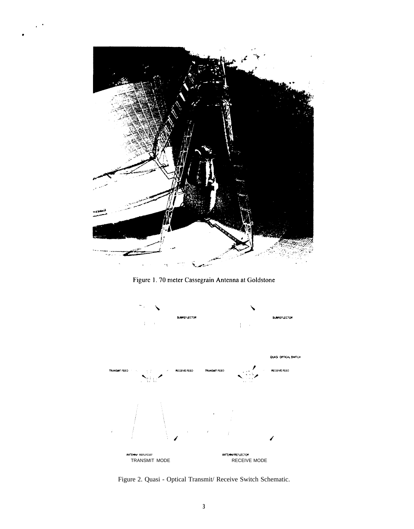

Figure 1. 70 meter Cassegrain Antenna at Goldstone



Figure 2. Quasi - Optical Transmit/ Receive Switch Schematic.